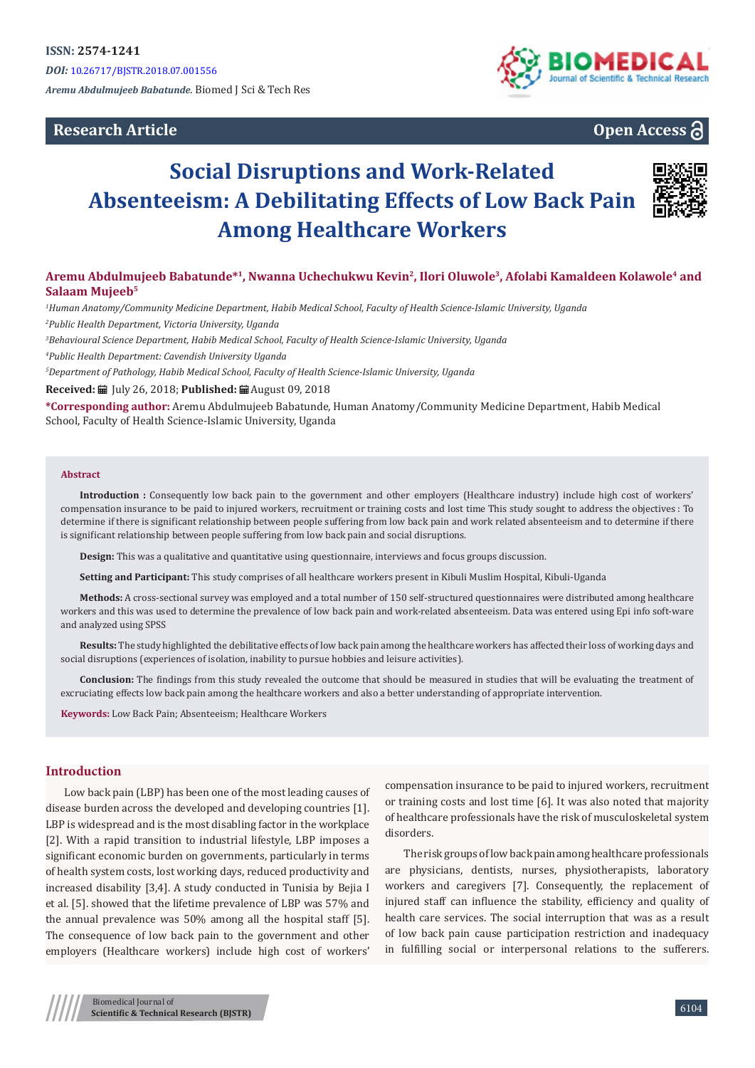# **Research Article**



# **Open Access**

# **Social Disruptions and Work-Related Absenteeism: A Debilitating Effects of Low Back Pain Among Healthcare Workers**



# **Aremu Abdulmujeeb Babatunde\*1, Nwanna Uchechukwu Kevin2, Ilori Oluwole3, Afolabi Kamaldeen Kolawole4 and Salaam Mujeeb5**

*1 Human Anatomy/Community Medicine Department, Habib Medical School, Faculty of Health Science-Islamic University, Uganda 2 Public Health Department, Victoria University, Uganda*

*3 Behavioural Science Department, Habib Medical School, Faculty of Health Science-Islamic University, Uganda*

*4 Public Health Department: Cavendish University Uganda*

*5 Department of Pathology, Habib Medical School, Faculty of Health Science-Islamic University, Uganda*

**Received:** July 26, 2018; **Published:** August 09, 2018

**\*Corresponding author:** Aremu Abdulmujeeb Babatunde, Human Anatomy/Community Medicine Department, Habib Medical School, Faculty of Health Science-Islamic University, Uganda

#### **Abstract**

**Introduction :** Consequently low back pain to the government and other employers (Healthcare industry) include high cost of workers' compensation insurance to be paid to injured workers, recruitment or training costs and lost time This study sought to address the objectives : To determine if there is significant relationship between people suffering from low back pain and work related absenteeism and to determine if there is significant relationship between people suffering from low back pain and social disruptions.

**Design:** This was a qualitative and quantitative using questionnaire, interviews and focus groups discussion.

**Setting and Participant:** This study comprises of all healthcare workers present in Kibuli Muslim Hospital, Kibuli-Uganda

**Methods:** A cross-sectional survey was employed and a total number of 150 self-structured questionnaires were distributed among healthcare workers and this was used to determine the prevalence of low back pain and work-related absenteeism. Data was entered using Epi info soft-ware and analyzed using SPSS

**Results:** The study highlighted the debilitative effects of low back pain among the healthcare workers has affected their loss of working days and social disruptions (experiences of isolation, inability to pursue hobbies and leisure activities).

**Conclusion:** The findings from this study revealed the outcome that should be measured in studies that will be evaluating the treatment of excruciating effects low back pain among the healthcare workers and also a better understanding of appropriate intervention.

**Keywords:** Low Back Pain; Absenteeism; Healthcare Workers

# **Introduction**

Low back pain (LBP) has been one of the most leading causes of disease burden across the developed and developing countries [1]. LBP is widespread and is the most disabling factor in the workplace [2]. With a rapid transition to industrial lifestyle, LBP imposes a significant economic burden on governments, particularly in terms of health system costs, lost working days, reduced productivity and increased disability [3,4]. A study conducted in Tunisia by Bejia I et al. [5]. showed that the lifetime prevalence of LBP was 57% and the annual prevalence was 50% among all the hospital staff [5]. The consequence of low back pain to the government and other employers (Healthcare workers) include high cost of workers'

compensation insurance to be paid to injured workers, recruitment or training costs and lost time [6]. It was also noted that majority of healthcare professionals have the risk of musculoskeletal system disorders.

The risk groups of low back pain among healthcare professionals are physicians, dentists, nurses, physiotherapists, laboratory workers and caregivers [7]. Consequently, the replacement of injured staff can influence the stability, efficiency and quality of health care services. The social interruption that was as a result of low back pain cause participation restriction and inadequacy in fulfilling social or interpersonal relations to the sufferers.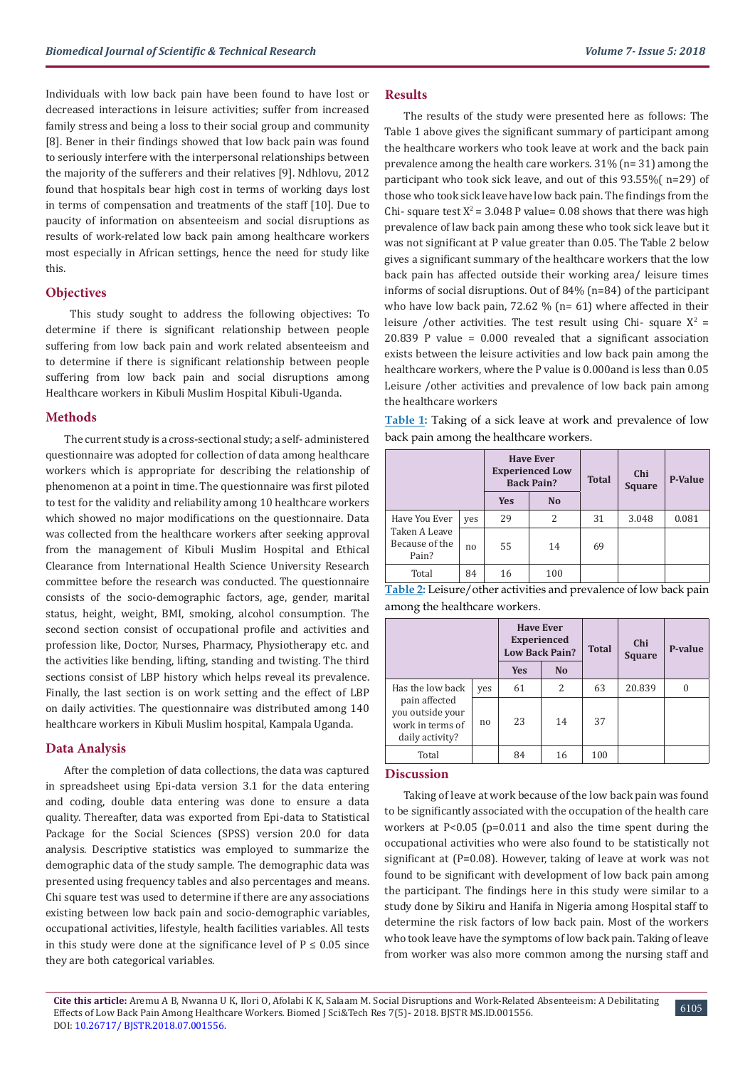Individuals with low back pain have been found to have lost or decreased interactions in leisure activities; suffer from increased family stress and being a loss to their social group and community [8]. Bener in their findings showed that low back pain was found to seriously interfere with the interpersonal relationships between the majority of the sufferers and their relatives [9]. Ndhlovu, 2012 found that hospitals bear high cost in terms of working days lost in terms of compensation and treatments of the staff [10]. Due to paucity of information on absenteeism and social disruptions as results of work-related low back pain among healthcare workers most especially in African settings, hence the need for study like this.

#### **Objectives**

 This study sought to address the following objectives: To determine if there is significant relationship between people suffering from low back pain and work related absenteeism and to determine if there is significant relationship between people suffering from low back pain and social disruptions among Healthcare workers in Kibuli Muslim Hospital Kibuli-Uganda.

#### **Methods**

The current study is a cross-sectional study; a self- administered questionnaire was adopted for collection of data among healthcare workers which is appropriate for describing the relationship of phenomenon at a point in time. The questionnaire was first piloted to test for the validity and reliability among 10 healthcare workers which showed no major modifications on the questionnaire. Data was collected from the healthcare workers after seeking approval from the management of Kibuli Muslim Hospital and Ethical Clearance from International Health Science University Research committee before the research was conducted. The questionnaire consists of the socio-demographic factors, age, gender, marital status, height, weight, BMI, smoking, alcohol consumption. The second section consist of occupational profile and activities and profession like, Doctor, Nurses, Pharmacy, Physiotherapy etc. and the activities like bending, lifting, standing and twisting. The third sections consist of LBP history which helps reveal its prevalence. Finally, the last section is on work setting and the effect of LBP on daily activities. The questionnaire was distributed among 140 healthcare workers in Kibuli Muslim hospital, Kampala Uganda.

# **Data Analysis**

After the completion of data collections, the data was captured in spreadsheet using Epi-data version 3.1 for the data entering and coding, double data entering was done to ensure a data quality. Thereafter, data was exported from Epi-data to Statistical Package for the Social Sciences (SPSS) version 20.0 for data analysis. Descriptive statistics was employed to summarize the demographic data of the study sample. The demographic data was presented using frequency tables and also percentages and means. Chi square test was used to determine if there are any associations existing between low back pain and socio-demographic variables, occupational activities, lifestyle, health facilities variables. All tests in this study were done at the significance level of  $P \le 0.05$  since they are both categorical variables.

#### **Results**

The results of the study were presented here as follows: The Table 1 above gives the significant summary of participant among the healthcare workers who took leave at work and the back pain prevalence among the health care workers. 31% (n= 31) among the participant who took sick leave, and out of this 93.55%( n=29) of those who took sick leave have low back pain. The findings from the Chi- square test  $X^2 = 3.048$  P value= 0.08 shows that there was high prevalence of law back pain among these who took sick leave but it was not significant at P value greater than 0.05. The Table 2 below gives a significant summary of the healthcare workers that the low back pain has affected outside their working area/ leisure times informs of social disruptions. Out of 84% (n=84) of the participant who have low back pain, 72.62 % (n= 61) where affected in their leisure /other activities. The test result using Chi- square  $X^2$  = 20.839 P value = 0.000 revealed that a significant association exists between the leisure activities and low back pain among the healthcare workers, where the P value is 0.000and is less than 0.05 Leisure /other activities and prevalence of low back pain among the healthcare workers

**Table 1:** Taking of a sick leave at work and prevalence of low back pain among the healthcare workers.

|                                                           |                |            | <b>Have Ever</b><br><b>Experienced Low</b><br><b>Back Pain?</b> | <b>Total</b> | Chi<br><b>Square</b> | <b>P-Value</b> |
|-----------------------------------------------------------|----------------|------------|-----------------------------------------------------------------|--------------|----------------------|----------------|
|                                                           |                | <b>Yes</b> | <b>No</b>                                                       |              |                      |                |
| Have You Ever<br>Taken A Leave<br>Because of the<br>Pain? | ves            | 29         | 2                                                               | 31           | 3.048                | 0.081          |
|                                                           | n <sub>0</sub> | 55         | 14                                                              | 69           |                      |                |
| Total                                                     | 84             | 16         | 100                                                             |              |                      |                |

| Table 2: Leisure/other activities and prevalence of low back pain |  |
|-------------------------------------------------------------------|--|
| among the healthcare workers.                                     |  |

|                                                                          |     | <b>Have Ever</b><br><b>Experienced</b><br><b>Low Back Pain?</b> |           | <b>Total</b> | Chi<br><b>Square</b> | P-value |
|--------------------------------------------------------------------------|-----|-----------------------------------------------------------------|-----------|--------------|----------------------|---------|
|                                                                          |     | <b>Yes</b>                                                      | <b>No</b> |              |                      |         |
| Has the low back                                                         | yes | 61                                                              | 2         | 63           | 20.839               | U       |
| pain affected<br>you outside your<br>work in terms of<br>daily activity? | no  | 23                                                              | 14        | 37           |                      |         |
| Total                                                                    |     | 84                                                              | 16        | 100          |                      |         |

# **Discussion**

Taking of leave at work because of the low back pain was found to be significantly associated with the occupation of the health care workers at P<0.05 (p=0.011 and also the time spent during the occupational activities who were also found to be statistically not significant at (P=0.08). However, taking of leave at work was not found to be significant with development of low back pain among the participant. The findings here in this study were similar to a study done by Sikiru and Hanifa in Nigeria among Hospital staff to determine the risk factors of low back pain. Most of the workers who took leave have the symptoms of low back pain. Taking of leave from worker was also more common among the nursing staff and

**Cite this article:** Aremu A B, Nwanna U K, Ilori O, Afolabi K K, Salaam M. Social Disruptions and Work-Related Absenteeism: A Debilitating Effects of Low Back Pain Among Healthcare Workers*.* Biomed J Sci&Tech Res 7(5)- 2018. BJSTR MS.ID.001556. DOI: [10.26717/ BJSTR.2018.07.001556](http://dx.doi.org/10.26717/BJSTR.2018.07.001556).